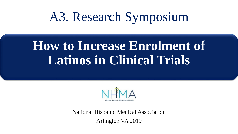# **How to Increase Enrolment of Latinos in Clinical Trials**



National Hispanic Medical Association Arlington VA 2019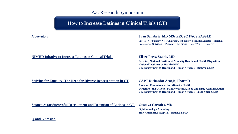# **How to Increase Latinos in Clinical Trials (CT)**

### *Moderator:* **Juan Sanabria, MD MSc FRCSC FACS FASSLD**

**Professor of Surgery, Vice-Chair Dpt. of Surgery, Scientific Director - Marshall Professor of Nutrition & Preventive Medicine – Case Western Reserve**

#### **NIMHD Initative to Increase Latinos in Clinical Trials Eliseo Perez-Stable, MD**

**Director, National Institute of Minority Health and Health Disparities National Institutes of Health (NIH) U.S. Department of Health and Human Services – Bethesda, MD**

#### **Striving for Equality: The Need for Diverse Representation in CT CAPT Richardae Araojo, PharmD**

**Assistant Commissioner for Minority Health Director of the Office of Minority Health, Food and Drug Administration U.S. Department of Health and Human Services –Silver Spring, MD**

**Strategies for Successful Recruitment and Retention of Latinos in CT Gustavo Corrales, MD** 

**Ophthalmology Attending Sibley Memorial Hospital – Bethesda, MD**

**Q and A Session**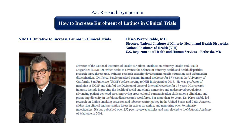## **How to Increase Enrolment of Latinos in Clinical Trials**

### **NIMHD Initative to Increase Latinos in Clinical Trials Eliseo Perez-Stable, MD**

**Director, National Institute of Minority Health and Health Disparities National Institutes of Health (NIH) U.S. Department of Health and Human Services – Bethesda, MD**



Director of the National Institutes of Health's National Institute on Minority Health and Health Disparities (NIMHD), which seeks to advance the science of minority health and health disparities research through research, training, research capacity development, public education, and information dissemination. Dr. Pérez-Stable practiced general internal medicine for 37 years at the University of California, San Francisco (UCSF) before moving to NIH in September 2015. He was professor of medicine at UCSF and chief of the Division of General Internal Medicine for 17 years. His research interests include improving the health of racial and ethnic minorities and underserved populations, advancing patient-centered care, improving cross-cultural communication skills among clinicians, and promoting diversity in the biomedical research workforce. For more than 30 years, Dr. Pérez-Stable led research on Latino smoking cessation and tobacco control policy in the United States and Latin America, addressing clinical and prevention issues in cancer screening, and mentoring over 70 minority investigators. He has published over 250 peer-reviewed articles and was elected to the National Academy of Medicine in 2001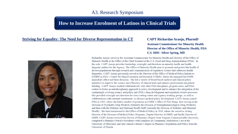## **How to Increase Enrolment of Latinos in Clinical Trials**

### **Striving for Equality: The Need for Diverse Representation in CT CAPT Richardae Araojo, PharmD**

# **Assistant Commissioner for Minority Health Director of the Office of Minority Health, FDA U.S. HHS –Silver Spring, MD**



Richardae Araojo serves as the Assistant Commissioner for Minority Health and Director of the Office of Minority Health in the Office of the Chief Scientist at the U.S. Food and Drug Administration (FDA). In this role, CAPT Araojo provides leadership, oversight, and direction on minority health and health disparity matters for the Agency. The Office of Minority Health aims to promote and protect the health of diverse populations through research and communication of regulatory science that addresses health disparities. CAPT Araojo previously served as the Director of the Office of Medical Policy Initiatives (OMPI) in FDA's Center for Drug Evaluation and Research (CDER), where she managed the OMPI immediate office and three divisions. She led a variety of broad-based medical and clinical policy initiatives to improve the science and efficiency of clinical trials and enhance professional and patient labeling. CAPT Araojo worked collaboratively with other FDA disciplines, program areas, and FDA centers to foster an interdisciplinary approach to policy development and to enhance the integration of the continuingly evolving science and policy into FDA's drug development and regulatory review processes. She provided oversight and direction for cross-cutting center and Agency working groups, as well as collaborations with external constituents, to advance medical policy development. CAPT Araojo joined FDA in 2003, where she held a number of positions in CDER's Office of New Drugs, first serving in the Division of Psychiatry Drug Products (formerly the Division of Neuropharmacological Drug Products) and then with the Pediatric and Maternal Health Staff (currently the Division of Pediatric and Maternal Health). She then transitioned to the Office of Medical Policy in 2010, where she served as Acting Director of the Division of Medical Policy Programs, Deputy Director of OMPI, and finally Director of OMPI. CAPT Araojo received her Doctor of Pharmacy Degree from Virginia Commonwealth University. completed a Pharmacy Practice Residency with Emphasis in Community Ambulatory Care at the University of Maryland, and later earned a Master's degree in Pharmacy Regulation and Policy from the University of Florida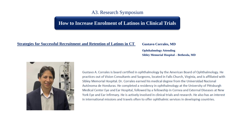## **How to Increase Enrolment of Latinos in Clinical Trials**

### **Strategies for Successful Recruitment and Retention of Latinos in CT Gustavo Corrales, MD**

**Ophthalmology Attending Sibley Memorial Hospital – Bethesda, MD**



Gustavo A. Corrales is board certified in ophthalmology by the American Board of Ophthalmology. He practices out of Vision Consultants and Surgeons, located in Falls Church, Virginia, and is affiliated with Sibley Memorial Hospital. Dr. Corrales earned his medical degree from the Universidad Nacional Autónoma de Honduras. He completed a residency in ophthalmology at the University of Pittsburgh Medical Center Eye and Ear Hospital, followed by a fellowship in Cornea and External Diseases at New York Eye and Ear Infirmary. He is actively involved in clinical trials and research. He also has an interest in international missions and travels often to offer ophthalmic services in developing countries.